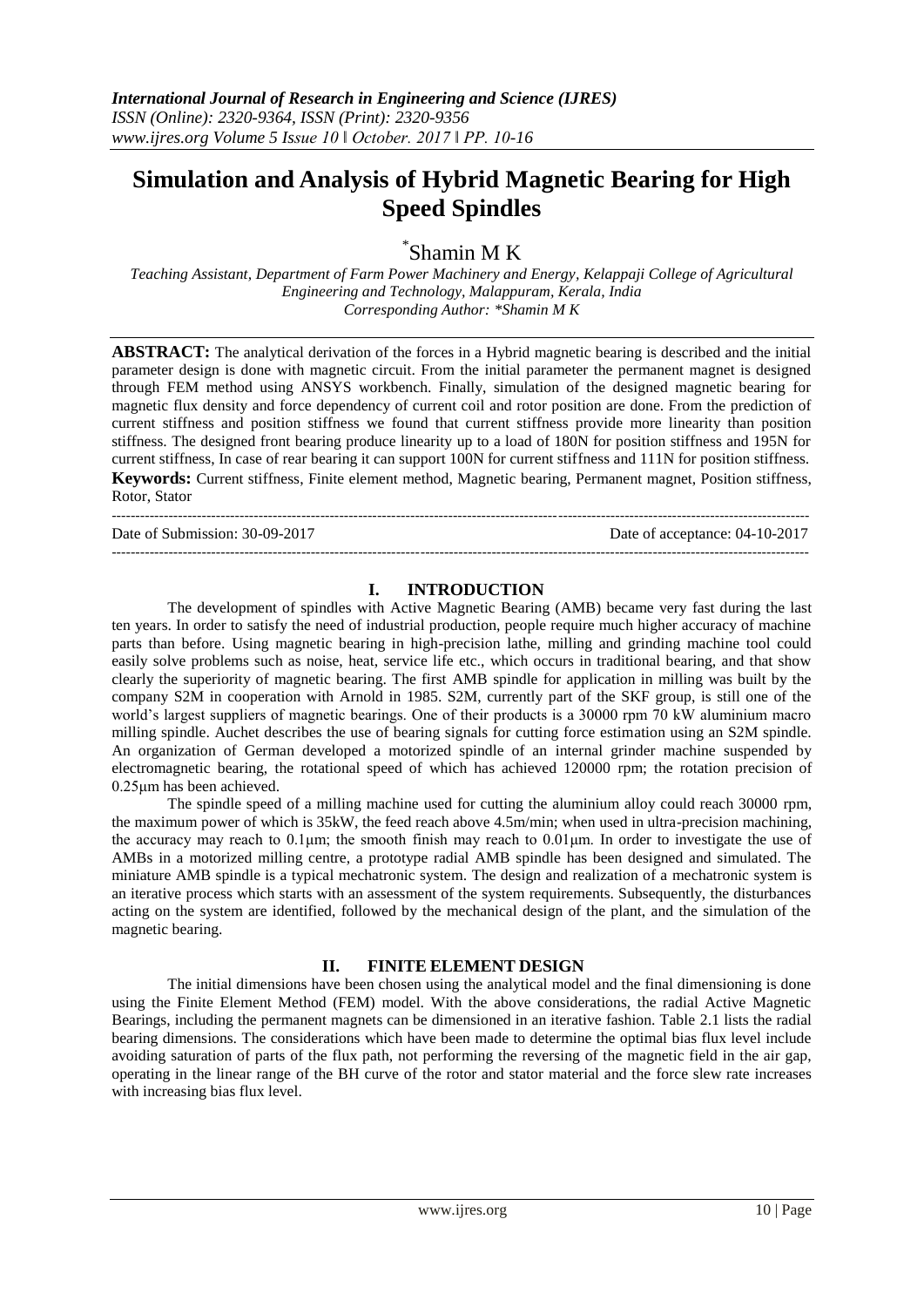# **Simulation and Analysis of Hybrid Magnetic Bearing for High Speed Spindles**

\* Shamin M K

*Teaching Assistant, Department of Farm Power Machinery and Energy, Kelappaji College of Agricultural Engineering and Technology, Malappuram, Kerala, India Corresponding Author: \*Shamin M K*

**ABSTRACT:** The analytical derivation of the forces in a Hybrid magnetic bearing is described and the initial parameter design is done with magnetic circuit. From the initial parameter the permanent magnet is designed through FEM method using ANSYS workbench. Finally, simulation of the designed magnetic bearing for magnetic flux density and force dependency of current coil and rotor position are done. From the prediction of current stiffness and position stiffness we found that current stiffness provide more linearity than position stiffness. The designed front bearing produce linearity up to a load of 180N for position stiffness and 195N for current stiffness, In case of rear bearing it can support 100N for current stiffness and 111N for position stiffness. **Keywords:** Current stiffness, Finite element method, Magnetic bearing, Permanent magnet, Position stiffness, Rotor, Stator

---------------------------------------------------------------------------------------------------------------------------------------------------

Date of Submission: 30-09-2017 Date of acceptance: 04-10-2017

# **I. INTRODUCTION**

---------------------------------------------------------------------------------------------------------------------------------------------------

The development of spindles with Active Magnetic Bearing (AMB) became very fast during the last ten years. In order to satisfy the need of industrial production, people require much higher accuracy of machine parts than before. Using magnetic bearing in high-precision lathe, milling and grinding machine tool could easily solve problems such as noise, heat, service life etc., which occurs in traditional bearing, and that show clearly the superiority of magnetic bearing. The first AMB spindle for application in milling was built by the company S2M in cooperation with Arnold in 1985. S2M, currently part of the SKF group, is still one of the world's largest suppliers of magnetic bearings. One of their products is a 30000 rpm 70 kW aluminium macro milling spindle. Auchet describes the use of bearing signals for cutting force estimation using an S2M spindle. An organization of German developed a motorized spindle of an internal grinder machine suspended by electromagnetic bearing, the rotational speed of which has achieved 120000 rpm; the rotation precision of 0.25μm has been achieved.

The spindle speed of a milling machine used for cutting the aluminium alloy could reach 30000 rpm, the maximum power of which is 35kW, the feed reach above 4.5m/min; when used in ultra-precision machining, the accuracy may reach to 0.1μm; the smooth finish may reach to 0.01μm. In order to investigate the use of AMBs in a motorized milling centre, a prototype radial AMB spindle has been designed and simulated. The miniature AMB spindle is a typical mechatronic system. The design and realization of a mechatronic system is an iterative process which starts with an assessment of the system requirements. Subsequently, the disturbances acting on the system are identified, followed by the mechanical design of the plant, and the simulation of the magnetic bearing.

# **II. FINITE ELEMENT DESIGN**

The initial dimensions have been chosen using the analytical model and the final dimensioning is done using the Finite Element Method (FEM) model. With the above considerations, the radial Active Magnetic Bearings, including the permanent magnets can be dimensioned in an iterative fashion. Table 2.1 lists the radial bearing dimensions. The considerations which have been made to determine the optimal bias flux level include avoiding saturation of parts of the flux path, not performing the reversing of the magnetic field in the air gap, operating in the linear range of the BH curve of the rotor and stator material and the force slew rate increases with increasing bias flux level.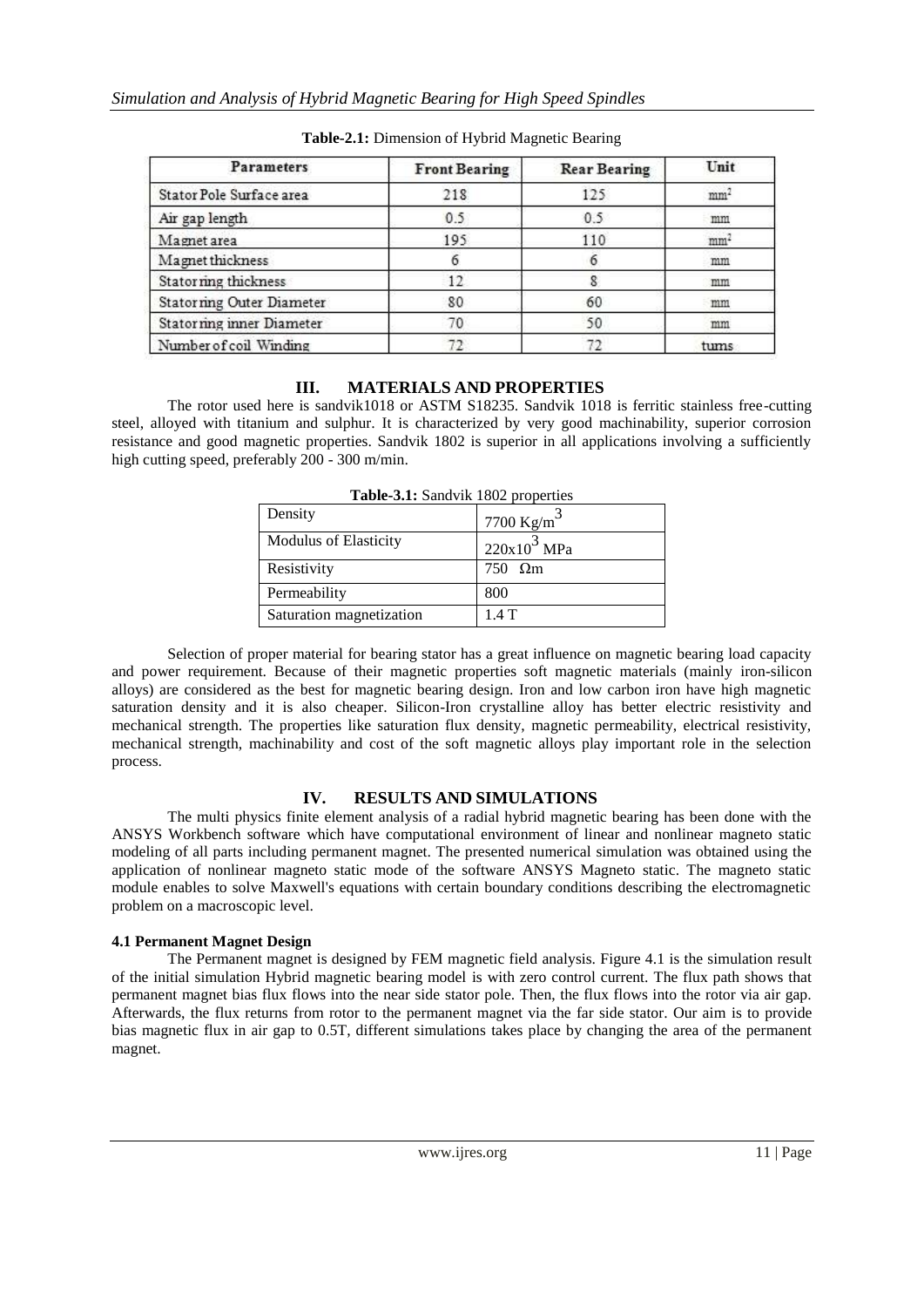| <b>Parameters</b>                | <b>Front Bearing</b> | <b>Rear Bearing</b> | Unit            |
|----------------------------------|----------------------|---------------------|-----------------|
| Stator Pole Surface area         | 218                  | 125                 | mm <sup>2</sup> |
| Air gap length                   | 0.5                  | 0.5                 | mm              |
| Magnet area                      | 195                  | 110                 | mm <sup>2</sup> |
| Magnet thickness                 |                      |                     | mm              |
| Statorring thickness             | 12                   |                     | mm              |
| Statorning Outer Diameter        | 80                   | 60                  | mm              |
| <b>Statorning inner Diameter</b> | 70                   | 50                  | mm              |
| Number of coil Winding           |                      |                     | tums            |

**Table-2.1:** Dimension of Hybrid Magnetic Bearing

# **III. MATERIALS AND PROPERTIES**

The rotor used here is sandvik1018 or ASTM S18235. Sandvik 1018 is ferritic stainless free-cutting steel, alloyed with titanium and sulphur. It is characterized by very good machinability, superior corrosion resistance and good magnetic properties. Sandvik 1802 is superior in all applications involving a sufficiently high cutting speed, preferably 200 - 300 m/min.

| $\frac{1}{2}$ and $\frac{1}{2}$ of $\frac{1}{2}$ and $\frac{1}{2}$ and $\frac{1}{2}$ of $\frac{1}{2}$ and $\frac{1}{2}$ |                  |  |  |  |
|-------------------------------------------------------------------------------------------------------------------------|------------------|--|--|--|
| Density                                                                                                                 | 7700 $Kg/m3$     |  |  |  |
| <b>Modulus of Elasticity</b>                                                                                            | $220x10^3$ MPa   |  |  |  |
| Resistivity                                                                                                             | $750$ $\Omega$ m |  |  |  |
| Permeability                                                                                                            | 800              |  |  |  |
| Saturation magnetization                                                                                                | 1.4T             |  |  |  |

Table-3.1: Sandvik 1802 properties

Selection of proper material for bearing stator has a great influence on magnetic bearing load capacity and power requirement. Because of their magnetic properties soft magnetic materials (mainly iron-silicon alloys) are considered as the best for magnetic bearing design. Iron and low carbon iron have high magnetic saturation density and it is also cheaper. Silicon-Iron crystalline alloy has better electric resistivity and mechanical strength. The properties like saturation flux density, magnetic permeability, electrical resistivity, mechanical strength, machinability and cost of the soft magnetic alloys play important role in the selection process.

# **IV. RESULTS AND SIMULATIONS**

The multi physics finite element analysis of a radial hybrid magnetic bearing has been done with the ANSYS Workbench software which have computational environment of linear and nonlinear magneto static modeling of all parts including permanent magnet. The presented numerical simulation was obtained using the application of nonlinear magneto static mode of the software ANSYS Magneto static. The magneto static module enables to solve Maxwell's equations with certain boundary conditions describing the electromagnetic problem on a macroscopic level.

# **4.1 Permanent Magnet Design**

The Permanent magnet is designed by FEM magnetic field analysis. Figure 4.1 is the simulation result of the initial simulation Hybrid magnetic bearing model is with zero control current. The flux path shows that permanent magnet bias flux flows into the near side stator pole. Then, the flux flows into the rotor via air gap. Afterwards, the flux returns from rotor to the permanent magnet via the far side stator. Our aim is to provide bias magnetic flux in air gap to 0.5T, different simulations takes place by changing the area of the permanent magnet.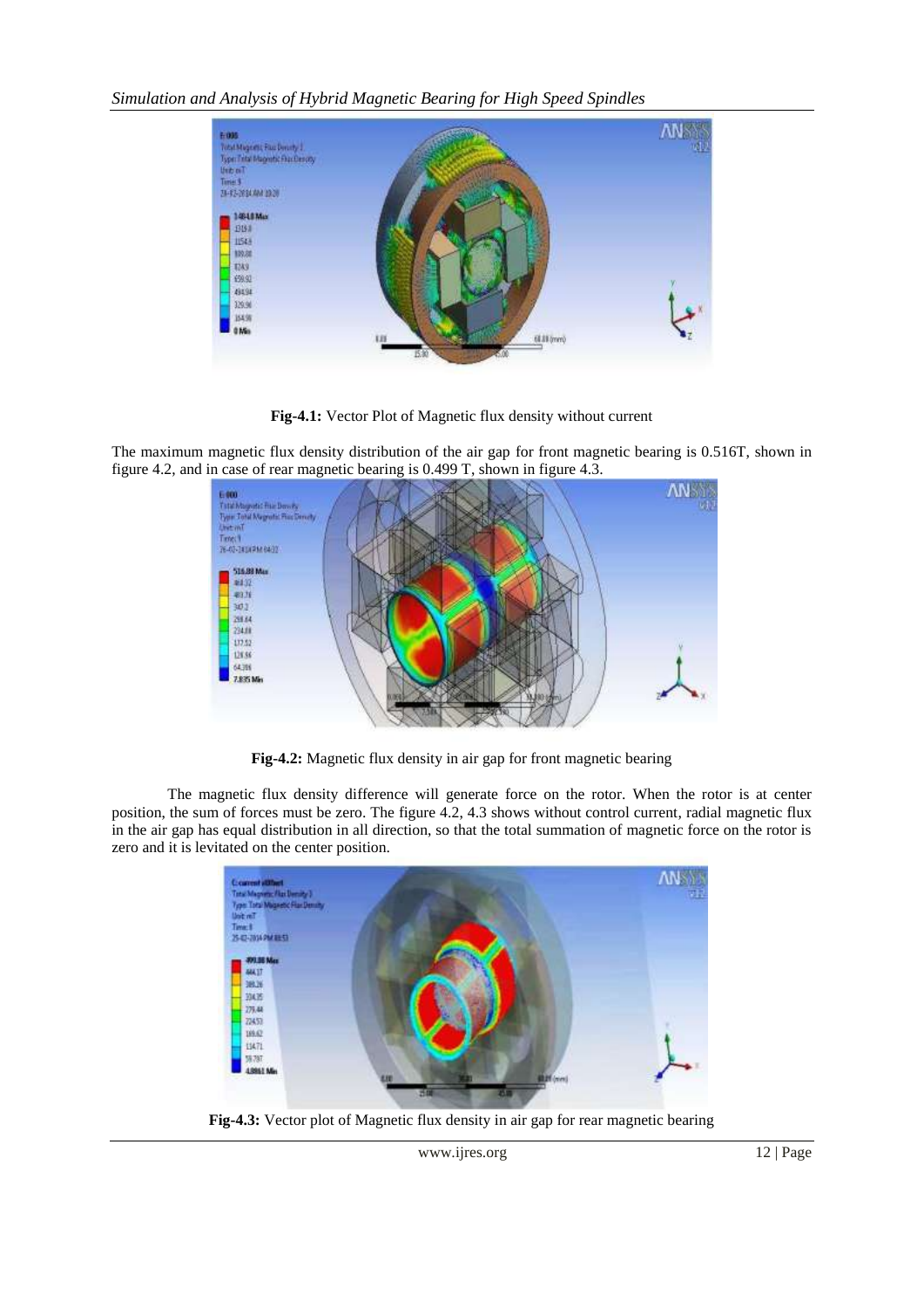*Simulation and Analysis of Hybrid Magnetic Bearing for High Speed Spindles*



**Fig-4.1:** Vector Plot of Magnetic flux density without current

The maximum magnetic flux density distribution of the air gap for front magnetic bearing is 0.516T, shown in figure 4.2, and in case of rear magnetic bearing is 0.499 T, shown in figure 4.3.



**Fig-4.2:** Magnetic flux density in air gap for front magnetic bearing

The magnetic flux density difference will generate force on the rotor. When the rotor is at center position, the sum of forces must be zero. The figure 4.2, 4.3 shows without control current, radial magnetic flux in the air gap has equal distribution in all direction, so that the total summation of magnetic force on the rotor is zero and it is levitated on the center position.



**Fig-4.3:** Vector plot of Magnetic flux density in air gap for rear magnetic bearing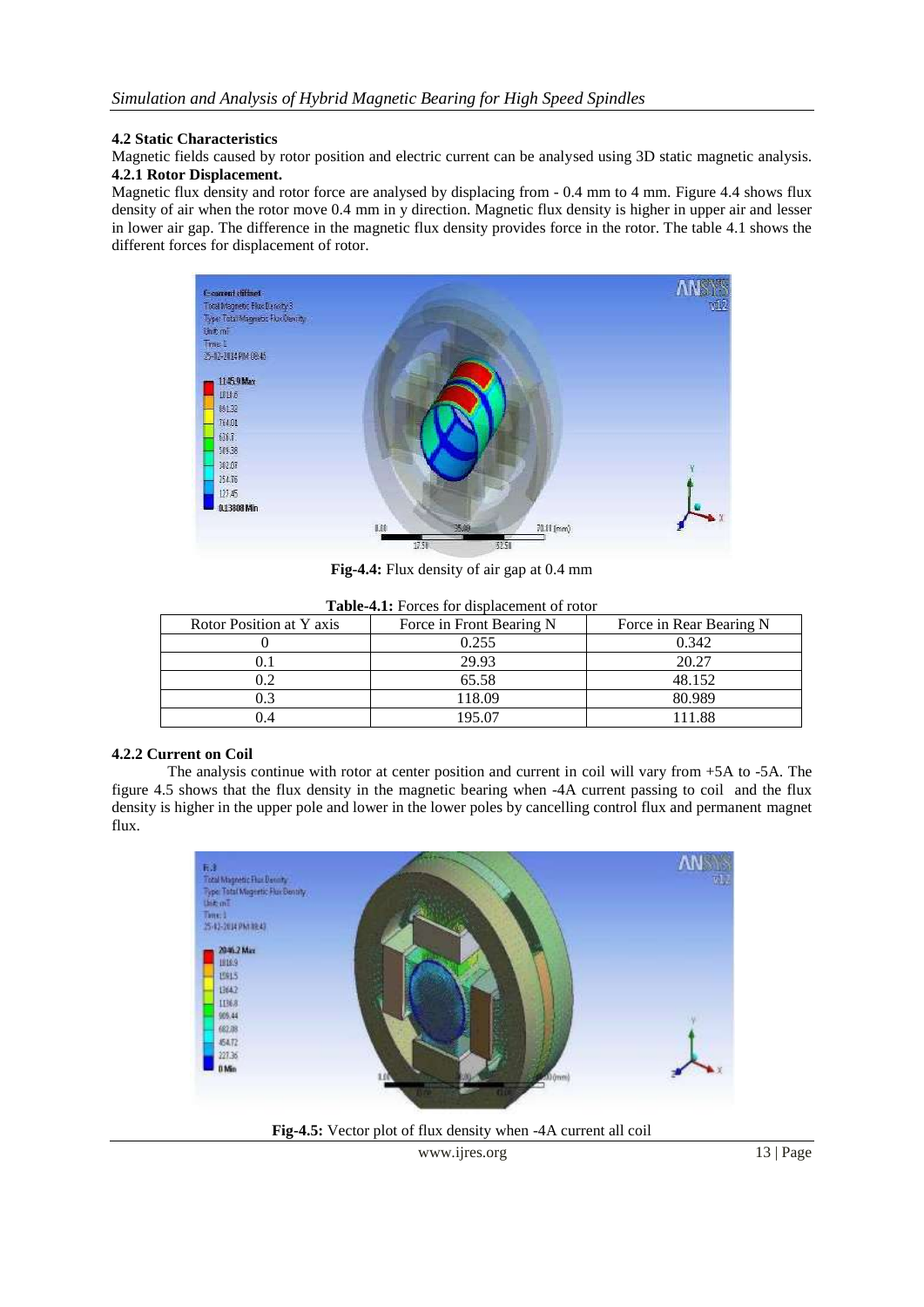#### **4.2 Static Characteristics**

Magnetic fields caused by rotor position and electric current can be analysed using 3D static magnetic analysis. **4.2.1 Rotor Displacement.**

Magnetic flux density and rotor force are analysed by displacing from - 0.4 mm to 4 mm. Figure 4.4 shows flux density of air when the rotor move 0.4 mm in y direction. Magnetic flux density is higher in upper air and lesser in lower air gap. The difference in the magnetic flux density provides force in the rotor. The table 4.1 shows the different forces for displacement of rotor.



**Fig-4.4:** Flux density of air gap at 0.4 mm

| Rotor Position at Y axis | Force in Front Bearing N | Force in Rear Bearing N |
|--------------------------|--------------------------|-------------------------|
|                          | 0.255                    | 0.342                   |
|                          | 29.93                    | 20.27                   |
|                          | 65.58                    | 48.152                  |
|                          | 118.09                   | 80.989                  |
| 4.                       | 195.07                   | 11.88                   |

**Table-4.1:** Forces for displacement of rotor

#### **4.2.2 Current on Coil**

The analysis continue with rotor at center position and current in coil will vary from +5A to -5A. The figure 4.5 shows that the flux density in the magnetic bearing when -4A current passing to coil and the flux density is higher in the upper pole and lower in the lower poles by cancelling control flux and permanent magnet flux.



**Fig-4.5:** Vector plot of flux density when -4A current all coil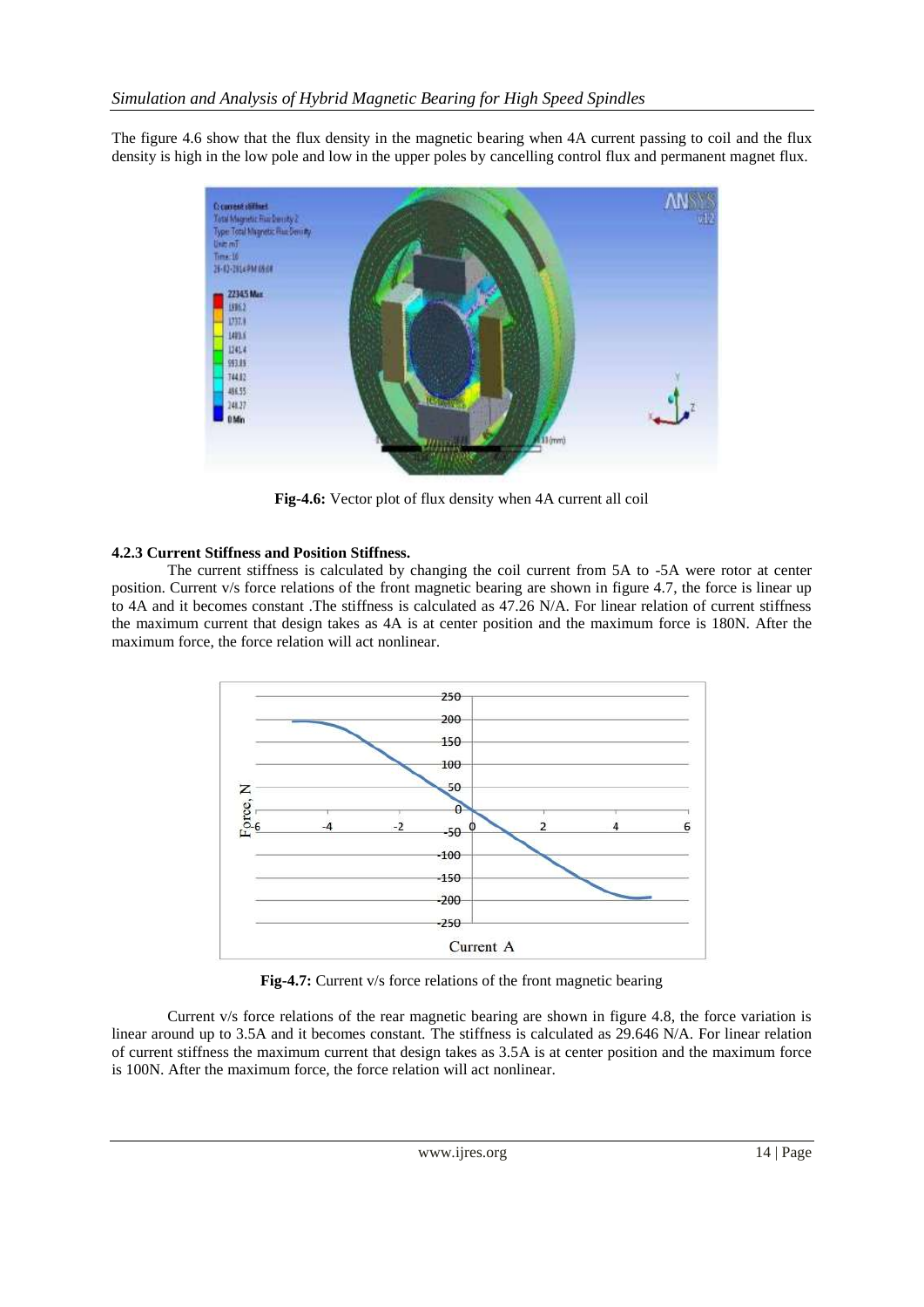The figure 4.6 show that the flux density in the magnetic bearing when 4A current passing to coil and the flux density is high in the low pole and low in the upper poles by cancelling control flux and permanent magnet flux.



**Fig-4.6:** Vector plot of flux density when 4A current all coil

# **4.2.3 Current Stiffness and Position Stiffness.**

The current stiffness is calculated by changing the coil current from 5A to -5A were rotor at center position. Current v/s force relations of the front magnetic bearing are shown in figure 4.7, the force is linear up to 4A and it becomes constant .The stiffness is calculated as 47.26 N/A. For linear relation of current stiffness the maximum current that design takes as 4A is at center position and the maximum force is 180N. After the maximum force, the force relation will act nonlinear.



**Fig-4.7:** Current v/s force relations of the front magnetic bearing

Current v/s force relations of the rear magnetic bearing are shown in figure 4.8, the force variation is linear around up to 3.5A and it becomes constant. The stiffness is calculated as 29.646 N/A. For linear relation of current stiffness the maximum current that design takes as 3.5A is at center position and the maximum force is 100N. After the maximum force, the force relation will act nonlinear.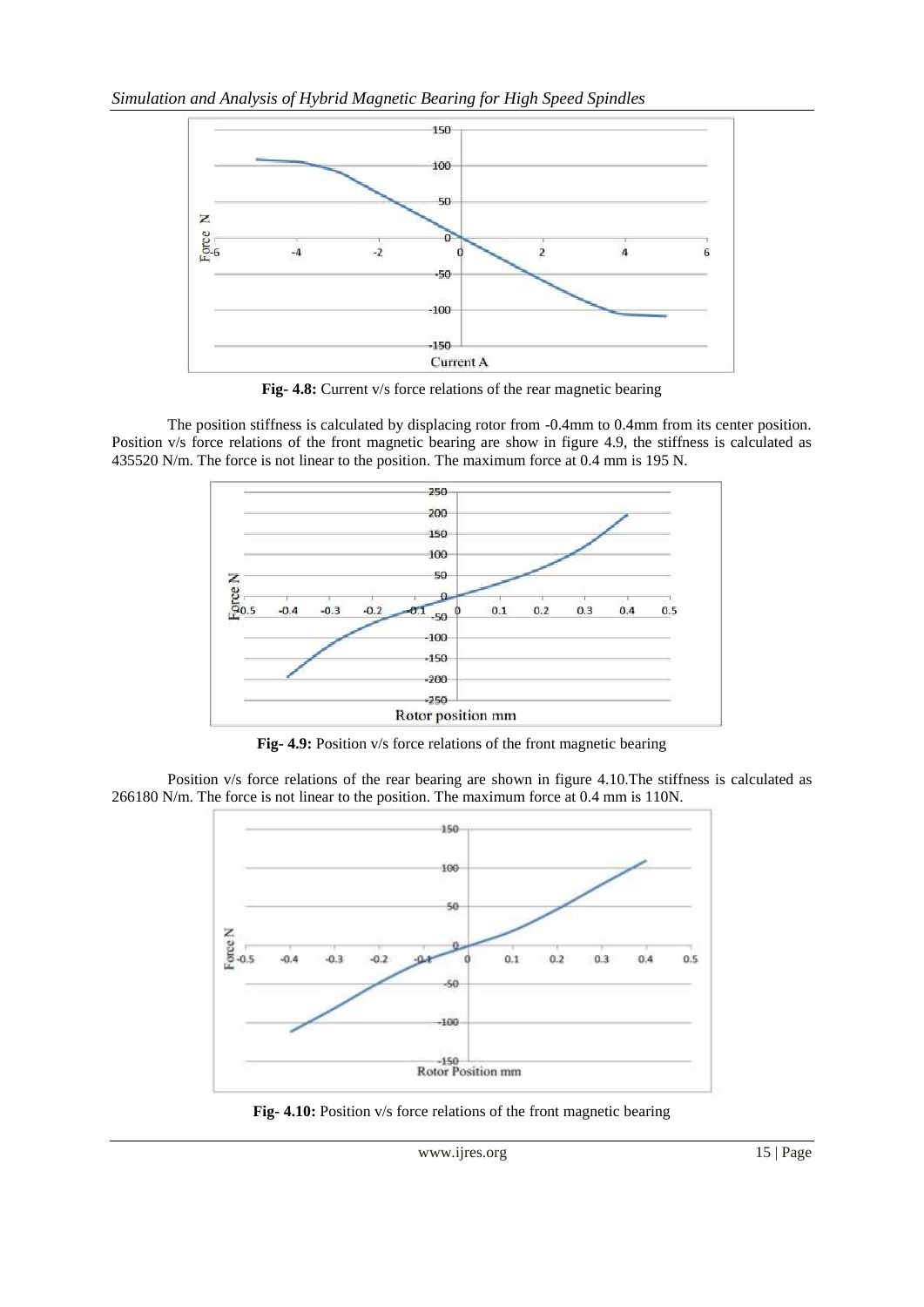

**Fig- 4.8:** Current v/s force relations of the rear magnetic bearing

The position stiffness is calculated by displacing rotor from -0.4mm to 0.4mm from its center position. Position v/s force relations of the front magnetic bearing are show in figure 4.9, the stiffness is calculated as 435520 N/m. The force is not linear to the position. The maximum force at 0.4 mm is 195 N.



**Fig- 4.9:** Position v/s force relations of the front magnetic bearing

Position v/s force relations of the rear bearing are shown in figure 4.10.The stiffness is calculated as 266180 N/m. The force is not linear to the position. The maximum force at 0.4 mm is 110N.



**Fig- 4.10:** Position v/s force relations of the front magnetic bearing